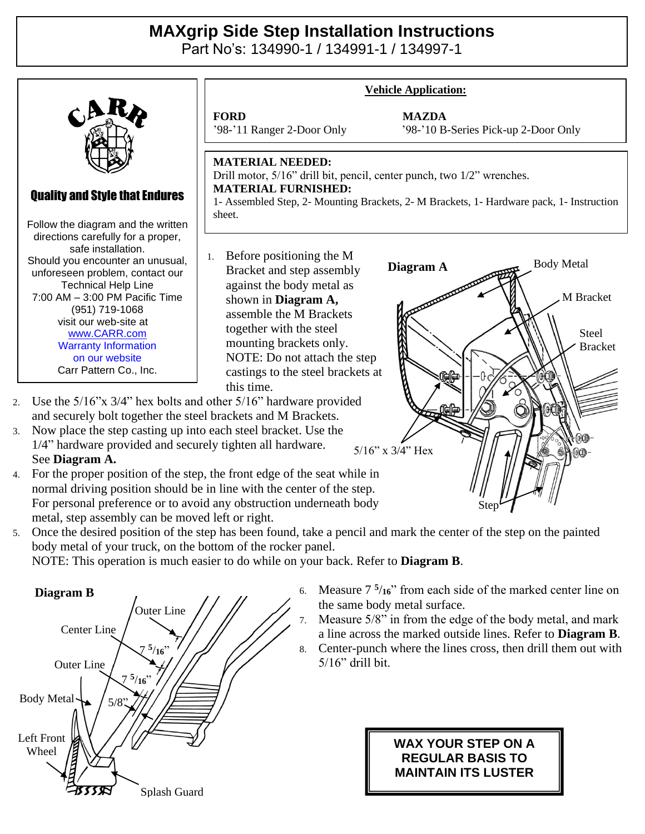## **MAXgrip Side Step Installation Instructions**

Part No's: 134990-1 / 134991-1 / 134997-1



- 3. Now place the step casting up into each steel bracket. Use the 1/4" hardware provided and securely tighten all hardware. See **Diagram A.**
- 4. For the proper position of the step, the front edge of the seat while in normal driving position should be in line with the center of the step. For personal preference or to avoid any obstruction underneath body metal, step assembly can be moved left or right.
- 5. Once the desired position of the step has been found, take a pencil and mark the center of the step on the painted body metal of your truck, on the bottom of the rocker panel.

NOTE: This operation is much easier to do while on your back. Refer to **Diagram B**.



6. Measure 7 **5** /**16**" from each side of the marked center line on the same body metal surface.

Step

- 7. Measure 5/8" in from the edge of the body metal, and mark a line across the marked outside lines. Refer to **Diagram B**.
- 8. Center-punch where the lines cross, then drill them out with 5/16" drill bit.

## **WAX YOUR STEP ON A REGULAR BASIS TO MAINTAIN ITS LUSTER**

5/16" x 3/4" Hex Bolt